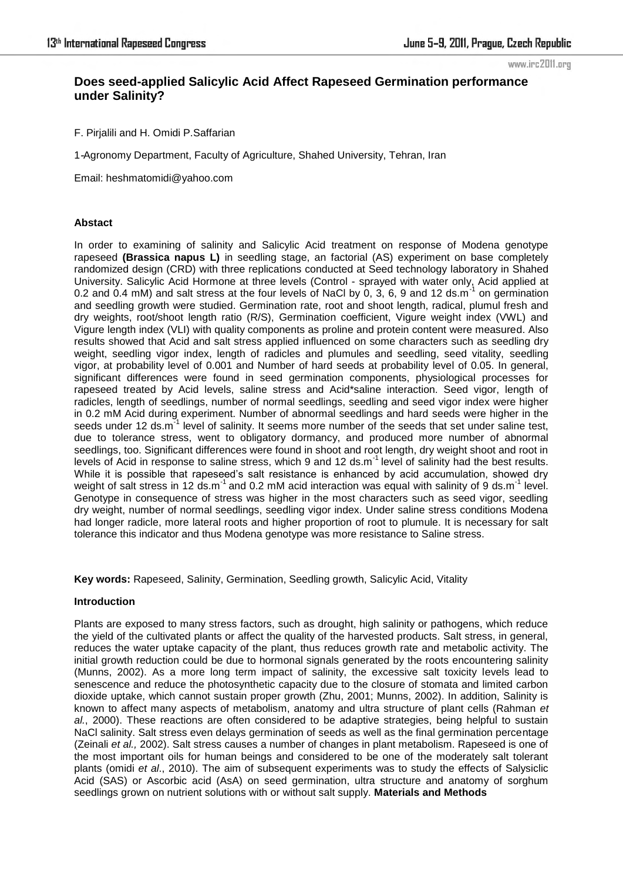#### www.irc2011.org

# **Does seed-applied Salicylic Acid Affect Rapeseed Germination performance under Salinity?**

F. Pirjalili and H. Omidi P.Saffarian

1-Agronomy Department, Faculty of Agriculture, Shahed University, Tehran, Iran

Email: heshmatomidi@yahoo.com

# **Abstact**

In order to examining of salinity and Salicylic Acid treatment on response of Modena genotype rapeseed **(Brassica napus L)** in seedling stage, an factorial (AS) experiment on base completely randomized design (CRD) with three replications conducted at Seed technology laboratory in Shahed University. Salicylic Acid Hormone at three levels (Control - sprayed with water only, Acid applied at 0.2 and 0.4 mM) and salt stress at the four levels of NaCl by 0, 3, 6, 9 and 12 ds.m<sup>-1</sup> on germination and seedling growth were studied. Germination rate, root and shoot length, radical, plumul fresh and dry weights, root/shoot length ratio (R/S), Germination coefficient, Vigure weight index (VWL) and Vigure length index (VLI) with quality components as proline and protein content were measured. Also results showed that Acid and salt stress applied influenced on some characters such as seedling dry weight, seedling vigor index, length of radicles and plumules and seedling, seed vitality, seedling vigor, at probability level of 0.001 and Number of hard seeds at probability level of 0.05. In general, significant differences were found in seed germination components, physiological processes for rapeseed treated by Acid levels, saline stress and Acid\*saline interaction. Seed vigor, length of radicles, length of seedlings, number of normal seedlings, seedling and seed vigor index were higher in 0.2 mM Acid during experiment. Number of abnormal seedlings and hard seeds were higher in the seeds under 12 ds.m<sup>-1</sup> level of salinity. It seems more number of the seeds that set under saline test, due to tolerance stress, went to obligatory dormancy, and produced more number of abnormal seedlings, too. Significant differences were found in shoot and root length, dry weight shoot and root in levels of Acid in response to saline stress, which 9 and 12 ds.m<sup>-1</sup> level of salinity had the best results. While it is possible that rapeseed's salt resistance is enhanced by acid accumulation, showed dry weight of salt stress in 12 ds.m<sup>-1</sup> and 0.2 mM acid interaction was equal with salinity of 9 ds.m<sup>-1</sup> level. Genotype in consequence of stress was higher in the most characters such as seed vigor, seedling dry weight, number of normal seedlings, seedling vigor index. Under saline stress conditions Modena had longer radicle, more lateral roots and higher proportion of root to plumule. It is necessary for salt tolerance this indicator and thus Modena genotype was more resistance to Saline stress.

**Key words:** Rapeseed, Salinity, Germination, Seedling growth, Salicylic Acid, Vitality

## **Introduction**

Plants are exposed to many stress factors, such as drought, high salinity or pathogens, which reduce the yield of the cultivated plants or affect the quality of the harvested products. Salt stress, in general, reduces the water uptake capacity of the plant, thus reduces growth rate and metabolic activity. The initial growth reduction could be due to hormonal signals generated by the roots encountering salinity (Munns, 2002). As a more long term impact of salinity, the excessive salt toxicity levels lead to senescence and reduce the photosynthetic capacity due to the closure of stomata and limited carbon dioxide uptake, which cannot sustain proper growth (Zhu, 2001; Munns, 2002). In addition, Salinity is known to affect many aspects of metabolism, anatomy and ultra structure of plant cells (Rahman *et al.*, 2000). These reactions are often considered to be adaptive strategies, being helpful to sustain NaCl salinity. Salt stress even delays germination of seeds as well as the final germination percentage (Zeinali *et al.,* 2002). Salt stress causes a number of changes in plant metabolism. Rapeseed is one of the most important oils for human beings and considered to be one of the moderately salt tolerant plants (omidi *et al*., 2010). The aim of subsequent experiments was to study the effects of Salysiclic Acid (SAS) or Ascorbic acid (AsA) on seed germination, ultra structure and anatomy of sorghum seedlings grown on nutrient solutions with or without salt supply. **Materials and Methods**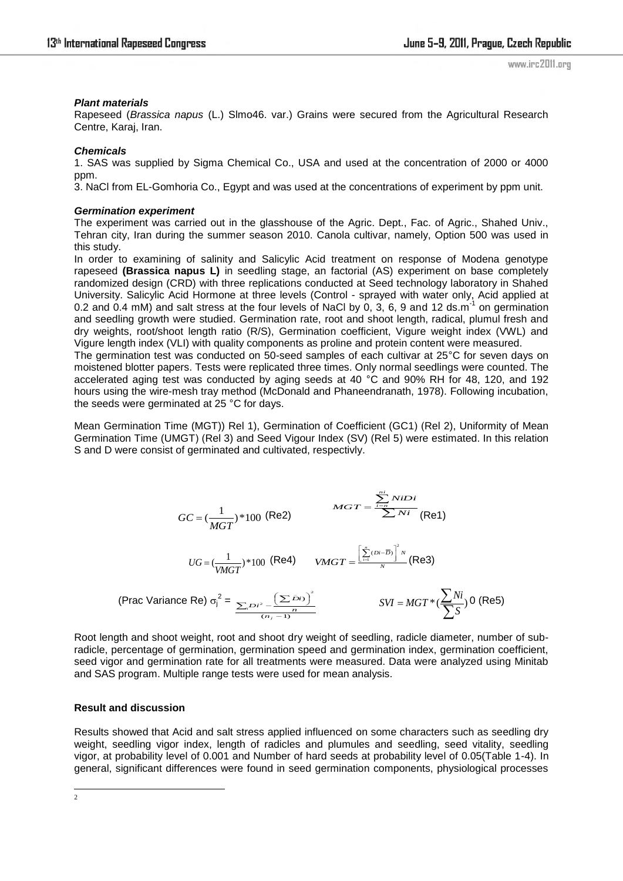# *Plant materials*

Rapeseed (*Brassica napus* (L.) Slmo46. var.) Grains were secured from the Agricultural Research Centre, Karaj, Iran.

# *Chemicals*

1. SAS was supplied by Sigma Chemical Co., USA and used at the concentration of 2000 or 4000 ppm.

3. NaCl from EL-Gomhoria Co., Egypt and was used at the concentrations of experiment by ppm unit.

#### *Germination experiment*

The experiment was carried out in the glasshouse of the Agric. Dept., Fac. of Agric., Shahed Univ., Tehran city, Iran during the summer season 2010. Canola cultivar, namely, Option 500 was used in this study.

In order to examining of salinity and Salicylic Acid treatment on response of Modena genotype rapeseed **(Brassica napus L)** in seedling stage, an factorial (AS) experiment on base completely randomized design (CRD) with three replications conducted at Seed technology laboratory in Shahed University. Salicylic Acid Hormone at three levels (Control - sprayed with water only, Acid applied at 0.2 and 0.4 mM) and salt stress at the four levels of NaCl by 0, 3, 6, 9 and 12 ds.m<sup>-1</sup> on germination and seedling growth were studied. Germination rate, root and shoot length, radical, plumul fresh and dry weights, root/shoot length ratio (R/S), Germination coefficient, Vigure weight index (VWL) and Vigure length index (VLI) with quality components as proline and protein content were measured.

The germination test was conducted on 50-seed samples of each cultivar at 25°C for seven days on moistened blotter papers. Tests were replicated three times. Only normal seedlings were counted. The accelerated aging test was conducted by aging seeds at 40 °C and 90% RH for 48, 120, and 192 hours using the wire-mesh tray method (McDonald and Phaneendranath, 1978). Following incubation, the seeds were germinated at 25 °C for days.

Mean Germination Time (MGT)) Rel 1), Germination of Coefficient (GC1) (Rel 2), Uniformity of Mean Germination Time (UMGT) (Rel 3) and Seed Vigour Index (SV) (Rel 5) were estimated. In this relation S and D were consist of germinated and cultivated, respectivly.

$$
GC = \left(\frac{1}{MGT}\right)^* 100 \text{ (Re2)} \qquad \qquad MGT = \frac{\sum_{i=n}^{n} N i Di}{\sum N i} \text{ (Re1)}
$$
\n
$$
UG = \left(\frac{1}{VMGT}\right)^* 100 \text{ (Re4)} \qquad VMGT = \frac{\left[\sum_{i=1}^{n} (Di - \overline{Di})\right]^2 N}{N} \text{ (Re3)}
$$
\n
$$
\text{(Prac Variance Re) } \sigma_j^2 = \frac{\sum_{i=1}^{n} D i^2 - \left(\sum_{i=1}^{n} \overline{Di}\right)^2}{\frac{(n_j - 1)^2}{N}} \qquad \qquad SWI = MGT^* \text{ (Re5)}
$$

Root length and shoot weight, root and shoot dry weight of seedling, radicle diameter, number of subradicle, percentage of germination, germination speed and germination index, germination coefficient, seed vigor and germination rate for all treatments were measured. Data were analyzed using Minitab and SAS program. Multiple range tests were used for mean analysis.

## **Result and discussion**

Results showed that Acid and salt stress applied influenced on some characters such as seedling dry weight, seedling vigor index, length of radicles and plumules and seedling, seed vitality, seedling vigor, at probability level of 0.001 and Number of hard seeds at probability level of 0.05(Table 1-4). In general, significant differences were found in seed germination components, physiological processes

 $\frac{1}{2}$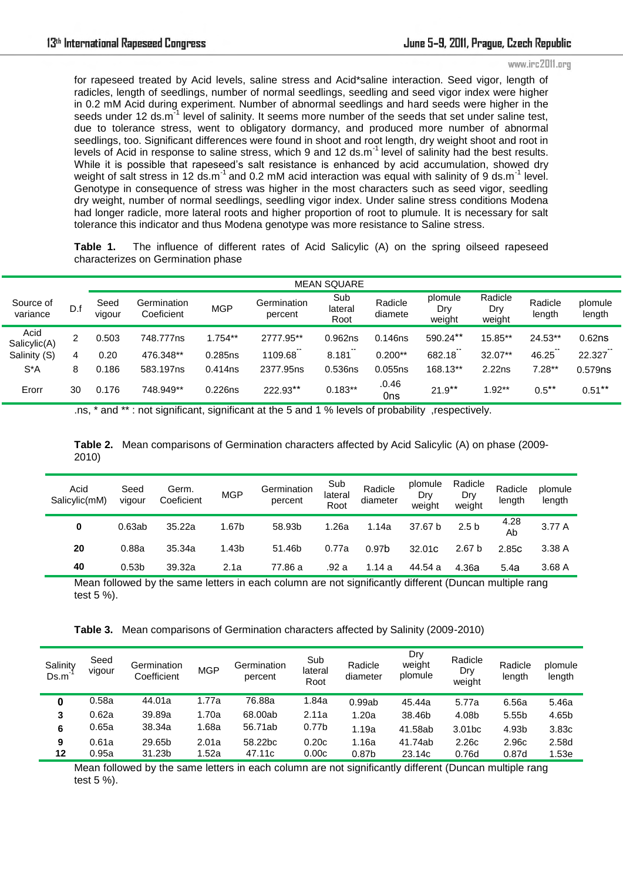#### www.irc2011.org

for rapeseed treated by Acid levels, saline stress and Acid\*saline interaction. Seed vigor, length of radicles, length of seedlings, number of normal seedlings, seedling and seed vigor index were higher in 0.2 mM Acid during experiment. Number of abnormal seedlings and hard seeds were higher in the seeds under 12 ds.m<sup>31</sup> level of salinity. It seems more number of the seeds that set under saline test, due to tolerance stress, went to obligatory dormancy, and produced more number of abnormal seedlings, too. Significant differences were found in shoot and root length, dry weight shoot and root in levels of Acid in response to saline stress, which 9 and 12 ds.m-1 level of salinity had the best results. While it is possible that rapeseed's salt resistance is enhanced by acid accumulation, showed dry weight of salt stress in 12 ds.m<sup>-1</sup> and 0.2 mM acid interaction was equal with salinity of 9 ds.m<sup>-1</sup> level. Genotype in consequence of stress was higher in the most characters such as seed vigor, seedling dry weight, number of normal seedlings, seedling vigor index. Under saline stress conditions Modena had longer radicle, more lateral roots and higher proportion of root to plumule. It is necessary for salt tolerance this indicator and thus Modena genotype was more resistance to Saline stress.

**Table 1.** The influence of different rates of Acid Salicylic (A) on the spring oilseed rapeseed characterizes on Germination phase

|                       |     | <b>MEAN SQUARE</b> |                           |            |                        |                        |                    |                          |                          |                   |                    |
|-----------------------|-----|--------------------|---------------------------|------------|------------------------|------------------------|--------------------|--------------------------|--------------------------|-------------------|--------------------|
| Source of<br>variance | D.f | Seed<br>vigour     | Germination<br>Coeficient | <b>MGP</b> | Germination<br>percent | Sub<br>lateral<br>Root | Radicle<br>diamete | plomule<br>Dry<br>weight | Radicle<br>Dry<br>weight | Radicle<br>length | plomule<br>length  |
| Acid<br>Salicylic(A)  | 2   | 0.503              | 748.777ns                 | $1.754**$  | 2777.95**              | 0.962ns                | 0.146ns            | 590.24**                 | 15.85**                  | 24.53**           | 0.62 <sub>ns</sub> |
| Salinity (S)          | 4   | 0.20               | 476.348**                 | 0.285ns    | $**$<br>1109.68        | **<br>8.181            | $0.200**$          | **<br>682.18             | $32.07**$                | 46.25             | 22.327             |
| $S^*A$                | 8   | 0.186              | 583.197ns                 | 0.414ns    | 2377.95ns              | 0.536ns                | 0.055ns            | 168.13**                 | 2.22ns                   | $7.28**$          | 0.579ns            |
| Erorr                 | 30  | 0.176              | 748.949**                 | 0.226ns    | 222.93**               | $0.183**$              | .0.46<br>0ns       | $21.9**$                 | $1.92**$                 | $0.5**$           | $0.51***$          |

.ns, \* and \*\* : not significant, significant at the 5 and 1 % levels of probability ,respectively.

|       | Table 2. Mean comparisons of Germination characters affected by Acid Salicylic (A) on phase (2009- |
|-------|----------------------------------------------------------------------------------------------------|
| 2010) |                                                                                                    |

| Acid<br>Salicylic(mM) | Seed<br>vigour    | Germ.<br>Coeficient | <b>MGP</b>        | Germination<br>percent | Sub<br>lateral<br>Root | Radicle<br>diameter | plomule<br>Dry<br>weight | Radicle<br>Dry<br>weight | Radicle<br>length | plomule<br>length |
|-----------------------|-------------------|---------------------|-------------------|------------------------|------------------------|---------------------|--------------------------|--------------------------|-------------------|-------------------|
| 0                     | 0.63ab            | 35.22a              | 1.67b             | 58.93b                 | 1.26a                  | 1.14a               | 37.67 b                  | 2.5 <sub>b</sub>         | 4.28<br>Ab        | 3.77 A            |
| 20                    | 0.88a             | 35.34a              | 1.43 <sub>b</sub> | 51.46b                 | 0.77a                  | 0.97 <sub>b</sub>   | 32.01C                   | 2.67 <sub>b</sub>        | 2.85 <sub>C</sub> | 3.38A             |
| 40                    | 0.53 <sub>b</sub> | 39.32a              | 2.1a              | 77.86 a                | .92 a                  | 1.14 a              | 44.54 a                  | 4.36a                    | 5.4a              | 3.68A             |

Mean followed by the same letters in each column are not significantly different (Duncan multiple rang test 5 %).

| Table 3. Mean comparisons of Germination characters affected by Salinity (2009-2010) |
|--------------------------------------------------------------------------------------|
|--------------------------------------------------------------------------------------|

| Salinity<br>Ds.m | Seed<br>vigour | Germination<br>Coefficient | <b>MGP</b> | Germination<br>percent | Sub<br>lateral<br>Root | Radicle<br>diameter | Dry<br>weight<br>plomule | Radicle<br>Dry<br>weight | Radicle<br>length | plomule<br>length |
|------------------|----------------|----------------------------|------------|------------------------|------------------------|---------------------|--------------------------|--------------------------|-------------------|-------------------|
| 0                | 0.58a          | 44.01a                     | 1.77a      | 76.88a                 | 1.84a                  | 0.99ab              | 45.44a                   | 5.77a                    | 6.56a             | 5.46a             |
| 3                | 0.62a          | 39.89a                     | 1.70a      | 68.00ab                | 2.11a                  | 1.20a               | 38.46b                   | 4.08b                    | 5.55b             | 4.65b             |
| 6                | 0.65a          | 38.34a                     | 1.68a      | 56.71ab                | 0.77 <sub>b</sub>      | 1.19a               | 41.58ab                  | 3.01 <sub>bc</sub>       | 4.93b             | 3.83c             |
| 9                | 0.61a          | 29.65b                     | 2.01a      | 58.22bc                | 0.20c                  | 1.16a               | 41.74ab                  | 2.26 <sub>c</sub>        | 2.96c             | 2.58d             |
| 12               | 0.95a          | 31.23b                     | 1.52a      | 47.11c                 | 0.00c                  | 0.87b               | 23.14c                   | 0.76d                    | 0.87d             | 1.53e             |

Mean followed by the same letters in each column are not significantly different (Duncan multiple rang test 5 %).